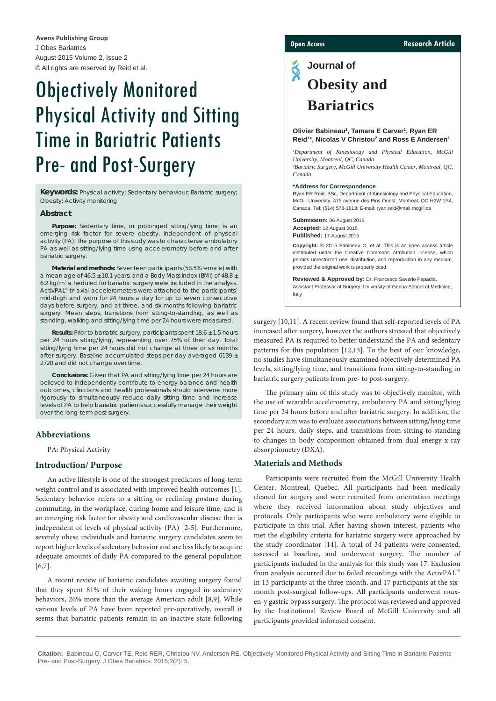J Obes Bariatrics August 2015 Volume 2, Issue 2 © All rights are reserved by Reid et al. **Avens Publishing Group**

# Objectively Monitored Physical Activity and Sitting Time in Bariatric Patients Pre- and Post-Surgery

**Keywords:** Physical activity; Sedentary behaviour; Bariatric surgery; Obesity; Activity monitoring

# **Abstract**

**Purpose:** Sedentary time, or prolonged sitting/lying time, is an emerging risk factor for severe obesity, independent of physical activity (PA). The purpose of this study was to characterize ambulatory PA as well as sitting/lying time using accelerometry before and after bariatric surgery.

**Material and methods:** Seventeen participants (58.5% female) with a mean age of  $46.5 \pm 10.1$  years, and a Body Mass Index (BMI) of  $48.8 \pm$ 6.2 kg/m2 scheduled for bariatric surgery were included in the analysis. ActivPAL™ tri-axial accelerometers were attached to the participants' mid-thigh and worn for 24 hours a day for up to seven consecutive days before surgery, and at three, and six months following bariatric surgery. Mean steps, transitions from sitting-to-standing, as well as standing, walking and sitting/lying time per 24 hours were measured.

**Results:** Prior to bariatric surgery, participants spent 18.6 ± 1.5 hours per 24 hours sitting/lying, representing over 75% of their day. Total sitting/lying time per 24 hours did not change at three or six months after surgery. Baseline accumulated steps per day averaged 6139 ± 2720 and did not change over time.

**Conclusions:** Given that PA and sitting/lying time per 24 hours are believed to independently contribute to energy balance and health outcomes, clinicians and health professionals should intervene more rigorously to simultaneously reduce daily sitting time and increase levels of PA to help bariatric patients successfully manage their weight over the long-term post-surgery.

# **Abbreviations**

PA: Physical Activity

### **Introduction/ Purpose**

An active lifestyle is one of the strongest predictors of long-term weight control and is associated with improved health outcomes [\[1](#page-3-0)]*.* Sedentary behavior refers to a sitting or reclining posture during commuting, in the workplace, during home and leisure time, and is an emerging risk factor for obesity and cardiovascular disease that is independent of levels of physical activity (PA) [[2-](#page-3-1)[5](#page-3-2)]. Furthermore, severely obese individuals and bariatric surgery candidates seem to report higher levels of sedentary behavior and are less likely to acquire adequate amounts of daily PA compared to the general population [[6,](#page-3-3)[7](#page-3-4)].

A recent review of bariatric candidates awaiting surgery found that they spent 81% of their waking hours engaged in sedentary behaviors, 26% more than the average American adult [[8](#page-3-5)[,9](#page-3-6)]. While various levels of PA have been reported pre-operatively, overall it seems that bariatric patients remain in an inactive state following

# **Open Access Research Article**

# $\tilde{\textbf{S}}$ **Journal of Obesity and Bariatrics**

#### **Olivier Babineau1 , Tamara E Carver1 , Ryan ER**  Reid<sup>1\*</sup>, Nicolas V Christou<sup>2</sup> and Ross E Andersen<sup>1</sup>

*1 Department of Kinesiology and Physical Education, McGill University, Montreal, QC, Canada*

*2 Bariatric Surgery, McGill University Health Center, Montreal, QC, Canada*

#### **\*Address for Correspondence**

Ryan ER Reid, BSc, Department of Kinesiology and Physical Education, McGill University, 475 avenue des Pins Ouest, Montreal, QC H2W 1S4, Canada, Tel: (514) 578-1813; E-mail: ryan.reid@mail.mcgill.ca

**Submission:** 06 August 2015 **Accepted:** 12 August 2015 **Published:** 17 August 2015

**Copyright:** © 2015 Babineau O, et al. This is an open access article distributed under the Creative Commons Attribution License, which permits unrestricted use, distribution, and reproduction in any medium, provided the original work is properly cited.

**Reviewed & Approved by:** Dr. Francesco Saverio Papadia, Assistant Professor of Surgery, University of Genoa School of Medicine, Italy

surgery [[10](#page-4-0),[11](#page-4-1)]. A recent review found that self-reported levels of PA increased after surgery, however the authors stressed that objectively measured PA is required to better understand the PA and sedentary patterns for this population [\[12,](#page-4-2)[13](#page-4-3)]. To the best of our knowledge, no studies have simultaneously examined objectively determined PA levels, sitting/lying time, and transitions from sitting-to-standing in bariatric surgery patients from pre- to post-surgery.

The primary aim of this study was to objectively monitor, with the use of wearable accelerometry, ambulatory PA and sitting/lying time per 24 hours before and after bariatric surgery. In addition, the secondary aim was to evaluate associations between sitting/lying time per 24 hours, daily steps, and transitions from sitting-to-standing to changes in body composition obtained from dual energy x-ray absorptiometry (DXA).

# **Materials and Methods**

Participants were recruited from the McGill University Health Center, Montreal, Québec. All participants had been medically cleared for surgery and were recruited from orientation meetings where they received information about study objectives and protocols. Only participants who were ambulatory were eligible to participate in this trial. After having shown interest, patients who met the eligibility criteria for bariatric surgery were approached by the study coordinator [\[14\]](#page-4-4). A total of 34 patients were consented, assessed at baseline, and underwent surgery. The number of participants included in the analysis for this study was 17. Exclusion from analysis occurred due to failed recordings with the ActivPAL™ in 13 participants at the three-month, and 17 participants at the sixmonth post-surgical follow-ups. All participants underwent rouxen-y gastric bypass surgery. The protocol was reviewed and approved by the Institutional Review Board of McGill University and all participants provided informed consent.

**Citation:** Babineau O, Carver TE, Reid RER, Christou NV, Andersen RE. Objectively Monitored Physical Activity and Sitting Time in Bariatric Patients Pre- and Post-Surgery. J Obes Bariatrics. 2015;2(2): 5.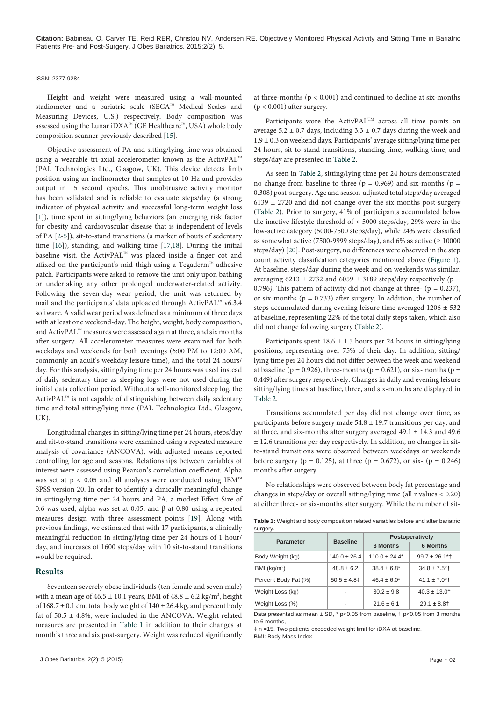#### ISSN: 2377-9284

Height and weight were measured using a wall-mounted stadiometer and a bariatric scale (SECA™ Medical Scales and Measuring Devices, U.S.) respectively. Body composition was assessed using the Lunar iDXA™ (GE Healthcare™, USA) whole body composition scanner previously described [\[15](#page-4-5)].

Objective assessment of PA and sitting/lying time was obtained using a wearable tri-axial accelerometer known as the ActivPAL™ (PAL Technologies Ltd., Glasgow, UK). This device detects limb position using an inclinometer that samples at 10 Hz and provides output in 15 second epochs. This unobtrusive activity monitor has been validated and is reliable to evaluate steps/day (a strong indicator of physical activity and successful long-term weight loss [[1\]](#page-3-0)), time spent in sitting/lying behaviors (an emerging risk factor for obesity and cardiovascular disease that is independent of levels of PA [[2](#page-3-1)[-5\]](#page-3-2)), sit-to-stand transitions (a marker of bouts of sedentary time [[16](#page-4-6)]), standing, and walking time [\[17,](#page-4-7)[18](#page-4-8)]. During the initial baseline visit, the ActivPAL™ was placed inside a finger cot and affixed on the participant's mid-thigh using a Tegaderm™ adhesive patch. Participants were asked to remove the unit only upon bathing or undertaking any other prolonged underwater-related activity. Following the seven-day wear period, the unit was returned by mail and the participants' data uploaded through ActivPAL™ v6.3.4 software. A valid wear period was defined as a minimum of three days with at least one weekend-day. The height, weight, body composition, and ActivPAL™ measures were assessed again at three, and six months after surgery. All accelerometer measures were examined for both weekdays and weekends for both evenings (6:00 PM to 12:00 AM, commonly an adult's weekday leisure time), and the total 24 hours/ day. For this analysis, sitting/lying time per 24 hours was used instead of daily sedentary time as sleeping logs were not used during the initial data collection period. Without a self-monitored sleep log, the ActivPAL™ is not capable of distinguishing between daily sedentary time and total sitting/lying time (PAL Technologies Ltd., Glasgow, UK).

Longitudinal changes in sitting/lying time per 24 hours, steps/day and sit-to-stand transitions were examined using a repeated measure analysis of covariance (ANCOVA), with adjusted means reported controlling for age and seasons. Relationships between variables of interest were assessed using Pearson's correlation coefficient. Alpha was set at  $p < 0.05$  and all analyses were conducted using IBM™ SPSS version 20. In order to identify a clinically meaningful change in sitting/lying time per 24 hours and PA, a modest Effect Size of 0.6 was used, alpha was set at 0.05, and β at 0.80 using a repeated measures design with three assessment points [[19](#page-4-9)]. Along with previous findings, we estimated that with 17 participants, a clinically meaningful reduction in sitting/lying time per 24 hours of 1 hour/ day, and increases of 1600 steps/day with 10 sit-to-stand transitions would be required**.**

### **Results**

Seventeen severely obese individuals (ten female and seven male) with a mean age of  $46.5 \pm 10.1$  years, BMI of  $48.8 \pm 6.2$  kg/m<sup>2</sup>, height of  $168.7 \pm 0.1$  cm, total body weight of  $140 \pm 26.4$  kg, and percent body fat of 50.5 ± 4.8%, were included in the ANCOVA. Weight related measures are presented in [Table 1](#page-1-0) in addition to their changes at month's three and six post-surgery. Weight was reduced significantly

at three-months  $(p < 0.001)$  and continued to decline at six-months  $(p < 0.001)$  after surgery.

Participants wore the ActivPAL™ across all time points on average  $5.2 \pm 0.7$  days, including  $3.3 \pm 0.7$  days during the week and  $1.9 \pm 0.3$  on weekend days. Participants' average sitting/lying time per 24 hours, sit-to-stand transitions, standing time, walking time, and steps/day are presented in [Table 2.](#page-2-0)

As seen in [Table 2](#page-2-0), sitting/lying time per 24 hours demonstrated no change from baseline to three ( $p = 0.969$ ) and six-months ( $p =$ 0.308) post-surgery. Age and season-adjusted total steps/day averaged 6139 ± 2720 and did not change over the six months post-surgery ([Table 2](#page-2-0)). Prior to surgery, 41% of participants accumulated below the inactive lifestyle threshold of < 5000 steps/day, 29% were in the low-active category (5000-7500 steps/day), while 24% were classified as somewhat active (7500-9999 steps/day), and 6% as active ( $\geq 10000$ steps/day) [\[20\]](#page-4-10). Post-surgery, no differences were observed in the step count activity classification categories mentioned above ([Figure 1\)](#page-2-1). At baseline, steps/day during the week and on weekends was similar, averaging  $6213 \pm 2732$  and  $6059 \pm 3189$  steps/day respectively (p = 0.796). This pattern of activity did not change at three-  $(p = 0.237)$ , or six-months ( $p = 0.733$ ) after surgery. In addition, the number of steps accumulated during evening leisure time averaged  $1206 \pm 532$ at baseline, representing 22% of the total daily steps taken, which also did not change following surgery ([Table 2](#page-2-0)).

Participants spent  $18.6 \pm 1.5$  hours per 24 hours in sitting/lying positions, representing over 75% of their day. In addition, sitting/ lying time per 24 hours did not differ between the week and weekend at baseline ( $p = 0.926$ ), three-months ( $p = 0.621$ ), or six-months ( $p = 0.926$ ) 0.449) after surgery respectively. Changes in daily and evening leisure sitting/lying times at baseline, three, and six-months are displayed in [Table 2](#page-2-0).

Transitions accumulated per day did not change over time, as participants before surgery made  $54.8 \pm 19.7$  transitions per day, and at three, and six-months after surgery averaged  $49.1 \pm 14.3$  and  $49.6$ ± 12.6 transitions per day respectively. In addition, no changes in sitto-stand transitions were observed between weekdays or weekends before surgery ( $p = 0.125$ ), at three ( $p = 0.672$ ), or six- ( $p = 0.246$ ) months after surgery.

No relationships were observed between body fat percentage and changes in steps/day or overall sitting/lying time (all r values < 0.20) at either three- or six-months after surgery. While the number of sit-

<span id="page-1-0"></span>**Table 1:** Weight and body composition related variables before and after bariatric surgery.

| <b>Parameter</b>         | <b>Baseline</b>  | Postoperatively   |                               |
|--------------------------|------------------|-------------------|-------------------------------|
|                          |                  | 3 Months          | <b>6 Months</b>               |
| Body Weight (kg)         | $140.0 \pm 26.4$ | $110.0 \pm 24.4*$ | $99.7 \pm 26.1$ <sup>*</sup>  |
| BMI (kg/m <sup>2</sup> ) | $48.8 \pm 6.2$   | $38.4 \pm 6.8^*$  | $34.8 \pm 7.5$ <sup>*</sup>   |
| Percent Body Fat (%)     | $50.5 \pm 4.81$  | $46.4 \pm 6.0^*$  | $41.1 \pm 7.0$ <sup>*</sup> t |
| Weight Loss (kg)         |                  | $30.2 \pm 9.8$    | $40.3 \pm 13.0$               |
| Weight Loss (%)          |                  | $21.6 \pm 6.1$    | $29.1 \pm 8.8$                |

Data presented as mean  $\pm$  SD,  $*$  p<0.05 from baseline,  $\dagger$  p<0.05 from 3 months to 6 months,

‡ n =15, Two patients exceeded weight limit for iDXA at baseline. BMI: Body Mass Index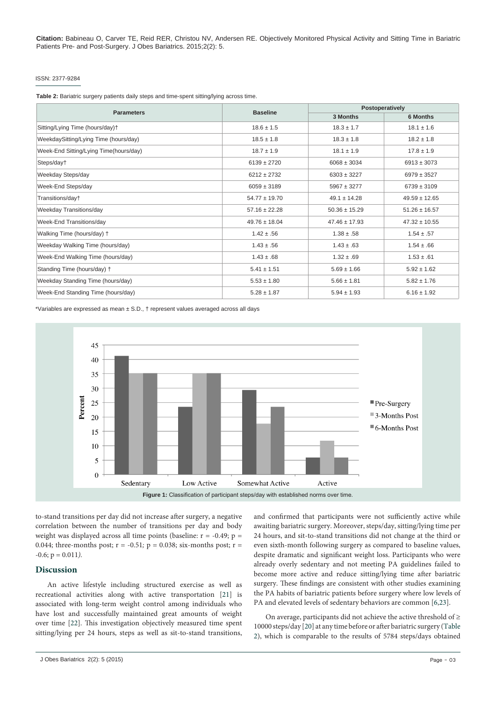#### ISSN: 2377-9284

<span id="page-2-0"></span>**Table 2:** Bariatric surgery patients daily steps and time-spent sitting/lying across time.

| <b>Parameters</b>                      | <b>Baseline</b>   | Postoperatively   |                   |
|----------------------------------------|-------------------|-------------------|-------------------|
|                                        |                   | 3 Months          | <b>6 Months</b>   |
| Sitting/Lying Time (hours/day)+        | $18.6 \pm 1.5$    | $18.3 \pm 1.7$    | $18.1 \pm 1.6$    |
| WeekdaySitting/Lying Time (hours/day)  | $18.5 \pm 1.8$    | $18.3 \pm 1.8$    | $18.2 \pm 1.8$    |
| Week-End Sitting/Lying Time(hours/day) | $18.7 \pm 1.9$    | $18.1 \pm 1.9$    | $17.8 \pm 1.9$    |
| Steps/day†                             | $6139 \pm 2720$   | $6068 \pm 3034$   | $6913 \pm 3073$   |
| Weekday Steps/day                      | $6212 \pm 2732$   | $6303 \pm 3227$   | $6979 \pm 3527$   |
| Week-End Steps/day                     | $6059 \pm 3189$   | $5967 \pm 3277$   | $6739 \pm 3109$   |
| Transitions/day+                       | $54.77 \pm 19.70$ | $49.1 \pm 14.28$  | $49.59 \pm 12.65$ |
| Weekday Transitions/day                | $57.16 \pm 22.28$ | $50.36 \pm 15.29$ | $51.26 \pm 16.57$ |
| Week-End Transitions/day               | $49.76 \pm 18.04$ | $47.46 \pm 17.93$ | $47.32 \pm 10.55$ |
| Walking Time (hours/day) +             | $1.42 \pm .56$    | $1.38 \pm .58$    | $1.54 \pm .57$    |
| Weekday Walking Time (hours/day)       | $1.43 \pm .56$    | $1.43 \pm .63$    | $1.54 \pm .66$    |
| Week-End Walking Time (hours/day)      | $1.43 \pm .68$    | $1.32 \pm .69$    | $1.53 \pm .61$    |
| Standing Time (hours/day) +            | $5.41 \pm 1.51$   | $5.69 \pm 1.66$   | $5.92 \pm 1.62$   |
| Weekday Standing Time (hours/day)      | $5.53 \pm 1.80$   | $5.66 \pm 1.81$   | $5.82 \pm 1.76$   |
| Week-End Standing Time (hours/day)     | $5.28 \pm 1.87$   | $5.94 \pm 1.93$   | $6.16 \pm 1.92$   |

\*Variables are expressed as mean ± S.D., † represent values averaged across all days

<span id="page-2-1"></span>

to-stand transitions per day did not increase after surgery, a negative correlation between the number of transitions per day and body weight was displayed across all time points (baseline:  $r = -0.49$ ;  $p =$ 0.044; three-months post;  $r = -0.51$ ;  $p = 0.038$ ; six-months post;  $r =$  $-0.6$ ;  $p = 0.011$ ).

# **Discussion**

An active lifestyle including structured exercise as well as recreational activities along with active transportation [[21\]](#page-4-11) is associated with long-term weight control among individuals who have lost and successfully maintained great amounts of weight over time [[22](#page-4-12)]. This investigation objectively measured time spent sitting/lying per 24 hours, steps as well as sit-to-stand transitions,

and confirmed that participants were not sufficiently active while awaiting bariatric surgery. Moreover, steps/day, sitting/lying time per 24 hours, and sit-to-stand transitions did not change at the third or even sixth-month following surgery as compared to baseline values, despite dramatic and significant weight loss. Participants who were already overly sedentary and not meeting PA guidelines failed to become more active and reduce sitting/lying time after bariatric surgery. These findings are consistent with other studies examining the PA habits of bariatric patients before surgery where low levels of PA and elevated levels of sedentary behaviors are common [[6](#page-3-3)[,23\]](#page-4-13).

On average, participants did not achieve the active threshold of  $\geq$ 10000 steps/day [[20](#page-4-10)] at any time before or after bariatric surgery ([Table](#page-2-0)  [2](#page-2-0)), which is comparable to the results of 5784 steps/days obtained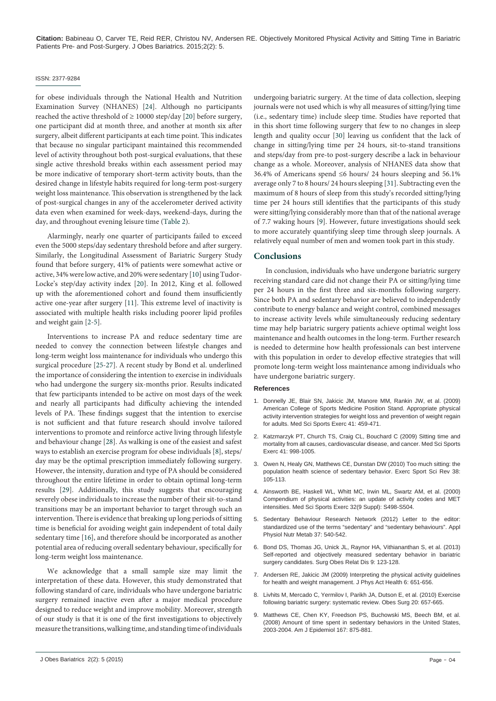#### ISSN: 2377-9284

for obese individuals through the National Health and Nutrition Examination Survey (NHANES) [\[24\]](#page-4-14). Although no participants reached the active threshold of  $\geq 10000$  step/day [[20](#page-4-10)] before surgery, one participant did at month three, and another at month six after surgery, albeit different participants at each time point. This indicates that because no singular participant maintained this recommended level of activity throughout both post-surgical evaluations, that these single active threshold breaks within each assessment period may be more indicative of temporary short-term activity bouts, than the desired change in lifestyle habits required for long-term post-surgery weight loss maintenance. This observation is strengthened by the lack of post-surgical changes in any of the accelerometer derived activity data even when examined for week-days, weekend-days, during the day, and throughout evening leisure time [\(Table 2\)](#page-2-0).

Alarmingly, nearly one quarter of participants failed to exceed even the 5000 steps/day sedentary threshold before and after surgery. Similarly, the Longitudinal Assessment of Bariatric Surgery Study found that before surgery, 41% of patients were somewhat active or active, 34% were low active, and 20% were sedentary [\[10\]](#page-4-0) using Tudor-Locke's step/day activity index [[20\]](#page-4-10). In 2012, King et al. followed up with the aforementioned cohort and found them insufficiently active one-year after surgery [[11](#page-4-1)]. This extreme level of inactivity is associated with multiple health risks including poorer lipid profiles and weight gain [\[2](#page-3-1)-[5\]](#page-3-2).

Interventions to increase PA and reduce sedentary time are needed to convey the connection between lifestyle changes and long-term weight loss maintenance for individuals who undergo this surgical procedure [\[25-](#page-4-15)[27\]](#page-4-16). A recent study by Bond et al. underlined the importance of considering the intention to exercise in individuals who had undergone the surgery six-months prior. Results indicated that few participants intended to be active on most days of the week and nearly all participants had difficulty achieving the intended levels of PA. These findings suggest that the intention to exercise is not sufficient and that future research should involve tailored interventions to promote and reinforce active living through lifestyle and behaviour change [[28\]](#page-4-17). As walking is one of the easiest and safest ways to establish an exercise program for obese individuals [\[8\]](#page-3-5), steps/ day may be the optimal prescription immediately following surgery. However, the intensity, duration and type of PA should be considered throughout the entire lifetime in order to obtain optimal long-term results [[29](#page-4-18)]. Additionally, this study suggests that encouraging severely obese individuals to increase the number of their sit-to-stand transitions may be an important behavior to target through such an intervention. There is evidence that breaking up long periods of sitting time is beneficial for avoiding weight gain independent of total daily sedentary time [[16](#page-4-6)], and therefore should be incorporated as another potential area of reducing overall sedentary behaviour, specifically for long-term weight loss maintenance.

We acknowledge that a small sample size may limit the interpretation of these data. However, this study demonstrated that following standard of care, individuals who have undergone bariatric surgery remained inactive even after a major medical procedure designed to reduce weight and improve mobility. Moreover, strength of our study is that it is one of the first investigations to objectively measure the transitions, walking time, and standing time of individuals

undergoing bariatric surgery. At the time of data collection, sleeping journals were not used which is why all measures of sitting/lying time (i.e., sedentary time) include sleep time. Studies have reported that in this short time following surgery that few to no changes in sleep length and quality occur [[30](#page-4-19)] leaving us confident that the lack of change in sitting/lying time per 24 hours, sit-to-stand transitions and steps/day from pre-to post-surgery describe a lack in behaviour change as a whole. Moreover, analysis of NHANES data show that 36.4% of Americans spend ≤6 hours/ 24 hours sleeping and 56.1% average only 7 to 8 hours/ 24 hours sleeping [\[31\]](#page-4-20). Subtracting even the maximum of 8 hours of sleep from this study's recorded sitting/lying time per 24 hours still identifies that the participants of this study were sitting/lying considerably more than that of the national average of 7.7 waking hours [\[9\]](#page-3-6). However, future investigations should seek to more accurately quantifying sleep time through sleep journals. A relatively equal number of men and women took part in this study.

#### **Conclusions**

In conclusion, individuals who have undergone bariatric surgery receiving standard care did not change their PA or sitting/lying time per 24 hours in the first three and six-months following surgery. Since both PA and sedentary behavior are believed to independently contribute to energy balance and weight control, combined messages to increase activity levels while simultaneously reducing sedentary time may help bariatric surgery patients achieve optimal weight loss maintenance and health outcomes in the long-term. Further research is needed to determine how health professionals can best intervene with this population in order to develop effective strategies that will promote long-term weight loss maintenance among individuals who have undergone bariatric surgery.

## **References**

- <span id="page-3-0"></span>1. [Donnelly JE, Blair SN, Jakicic JM, Manore MM, Rankin JW, et al. \(2009\)](http://www.ncbi.nlm.nih.gov/pubmed/19127177)  [American College of Sports Medicine Position Stand. Appropriate physical](http://www.ncbi.nlm.nih.gov/pubmed/19127177)  [activity intervention strategies for weight loss and prevention of weight regain](http://www.ncbi.nlm.nih.gov/pubmed/19127177)  [for adults. Med Sci Sports Exerc 41: 459-471.](http://www.ncbi.nlm.nih.gov/pubmed/19127177)
- <span id="page-3-1"></span>2. [Katzmarzyk PT, Church TS, Craig CL, Bouchard C \(2009\) Sitting time and](http://www.ncbi.nlm.nih.gov/pubmed/19346988)  [mortality from all causes, cardiovascular disease, and cancer. Med Sci Sports](http://www.ncbi.nlm.nih.gov/pubmed/19346988)  [Exerc 41: 998-1005.](http://www.ncbi.nlm.nih.gov/pubmed/19346988)
- 3. [Owen N, Healy GN, Matthews CE, Dunstan DW \(2010\) Too much sitting: the](http://www.ncbi.nlm.nih.gov/pubmed/20577058)  [population health science of sedentary behavior. Exerc Sport Sci Rev 38:](http://www.ncbi.nlm.nih.gov/pubmed/20577058)  [105-113.](http://www.ncbi.nlm.nih.gov/pubmed/20577058)
- 4. [Ainsworth BE, Haskell WL, Whitt MC, Irwin ML,](http://www.ncbi.nlm.nih.gov/pubmed/10993420) Swartz AM, et al. (2000) [Compendium of physical activities: an update of activity codes and MET](http://www.ncbi.nlm.nih.gov/pubmed/10993420)  [intensities. Med Sci Sports Exerc 32\(9 Suppl\): S498-S504.](http://www.ncbi.nlm.nih.gov/pubmed/10993420)
- <span id="page-3-2"></span>5. [Sedentary Behaviour Research Network \(2012\) Letter to the editor:](http://www.ncbi.nlm.nih.gov/pubmed/22540258)  [standardized use of the terms "sedentary" and "sedentary behaviours". Appl](http://www.ncbi.nlm.nih.gov/pubmed/22540258)  [Physiol Nutr Metab 37: 540-542.](http://www.ncbi.nlm.nih.gov/pubmed/22540258)
- <span id="page-3-3"></span>6. [Bond DS, Thomas JG, Unick JL, Raynor HA, Vithiananthan S, et al. \(2013\)](http://www.ncbi.nlm.nih.gov/pubmed/23265767)  [Self-reported and objectively measured sedentary behavior in bariatric](http://www.ncbi.nlm.nih.gov/pubmed/23265767)  [surgery candidates. Surg Obes Relat Dis 9: 123-128.](http://www.ncbi.nlm.nih.gov/pubmed/23265767)
- <span id="page-3-4"></span>7. [Andersen RE, Jakicic JM \(2009\) Interpreting the physical activity guidelines](http://www.ncbi.nlm.nih.gov/pubmed/19953843)  [for health and weight management. J Phys Act Health 6: 651-656.](http://www.ncbi.nlm.nih.gov/pubmed/19953843)
- <span id="page-3-5"></span>8. [Livhits M, Mercado C, Yermilov I, Parikh JA, Dutson E, et al. \(2010\) Exercise](http://www.ncbi.nlm.nih.gov/pubmed/20180039)  [following bariatric surgery: systematic review. Obes Surg 20: 657-665.](http://www.ncbi.nlm.nih.gov/pubmed/20180039)
- <span id="page-3-6"></span>9. [Matthews CE, Chen KY, Freedson PS, Buchowski MS, Beech BM, et al.](http://www.ncbi.nlm.nih.gov/pubmed/18303006)  [\(2008\) Amount of time spent in sedentary behaviors in the United States,](http://www.ncbi.nlm.nih.gov/pubmed/18303006)  [2003-2004. Am J Epidemiol 167: 875-881.](http://www.ncbi.nlm.nih.gov/pubmed/18303006)